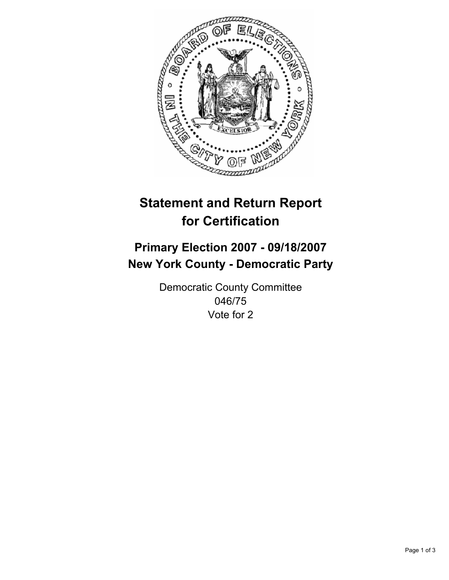

# **Statement and Return Report for Certification**

## **Primary Election 2007 - 09/18/2007 New York County - Democratic Party**

Democratic County Committee 046/75 Vote for 2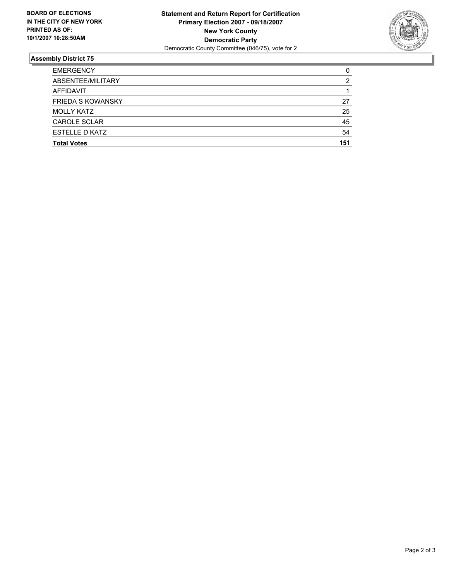

### **Assembly District 75**

| <b>EMERGENCY</b>         | C   |
|--------------------------|-----|
| ABSENTEE/MILITARY        |     |
| AFFIDAVIT                |     |
| <b>FRIEDA S KOWANSKY</b> | 27  |
| <b>MOLLY KATZ</b>        | 25  |
| <b>CAROLE SCLAR</b>      | 45  |
| <b>ESTELLE D KATZ</b>    | 54  |
| <b>Total Votes</b>       | 151 |